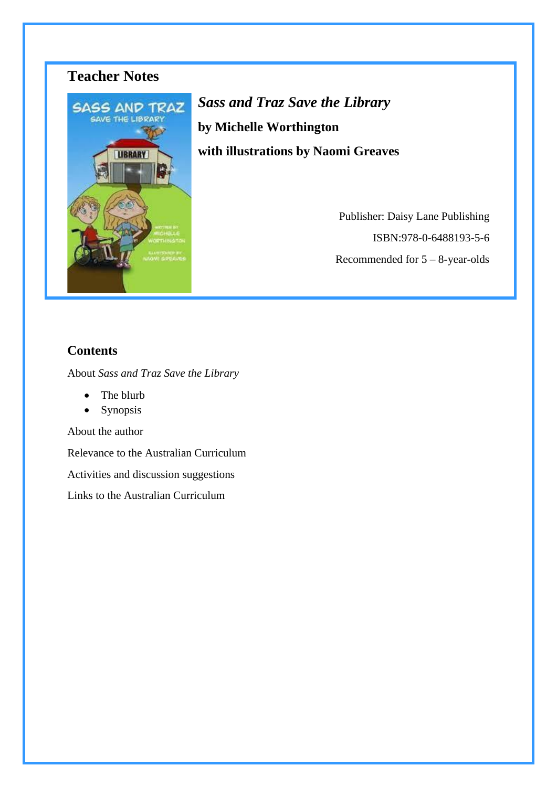

*Sass and Traz Save the Library* **by Michelle Worthington with illustrations by Naomi Greaves**

> Publisher: Daisy Lane Publishing ISBN:978-0-6488193-5-6 Recommended for 5 – 8-year-olds

## **Contents**

About *Sass and Traz Save the Library*

- The blurb
- Synopsis

About the author

Relevance to the Australian Curriculum

Activities and discussion suggestions

Links to the Australian Curriculum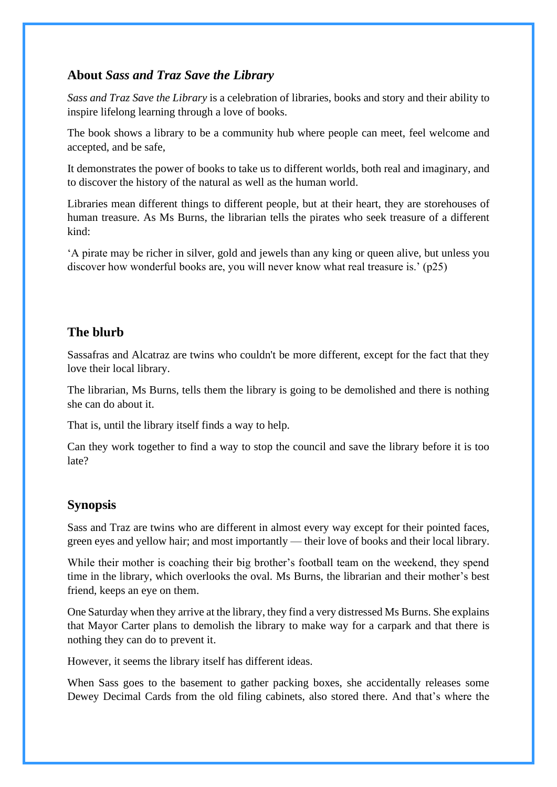## **About** *Sass and Traz Save the Library*

*Sass and Traz Save the Library* is a celebration of libraries, books and story and their ability to inspire lifelong learning through a love of books.

The book shows a library to be a community hub where people can meet, feel welcome and accepted, and be safe,

It demonstrates the power of books to take us to different worlds, both real and imaginary, and to discover the history of the natural as well as the human world.

Libraries mean different things to different people, but at their heart, they are storehouses of human treasure. As Ms Burns, the librarian tells the pirates who seek treasure of a different kind:

'A pirate may be richer in silver, gold and jewels than any king or queen alive, but unless you discover how wonderful books are, you will never know what real treasure is.' (p25)

## **The blurb**

Sassafras and Alcatraz are twins who couldn't be more different, except for the fact that they love their local library.

The librarian, Ms Burns, tells them the library is going to be demolished and there is nothing she can do about it.

That is, until the library itself finds a way to help.

Can they work together to find a way to stop the council and save the library before it is too late?

### **Synopsis**

Sass and Traz are twins who are different in almost every way except for their pointed faces, green eyes and yellow hair; and most importantly — their love of books and their local library.

While their mother is coaching their big brother's football team on the weekend, they spend time in the library, which overlooks the oval. Ms Burns, the librarian and their mother's best friend, keeps an eye on them.

One Saturday when they arrive at the library, they find a very distressed Ms Burns. She explains that Mayor Carter plans to demolish the library to make way for a carpark and that there is nothing they can do to prevent it.

However, it seems the library itself has different ideas.

When Sass goes to the basement to gather packing boxes, she accidentally releases some Dewey Decimal Cards from the old filing cabinets, also stored there. And that's where the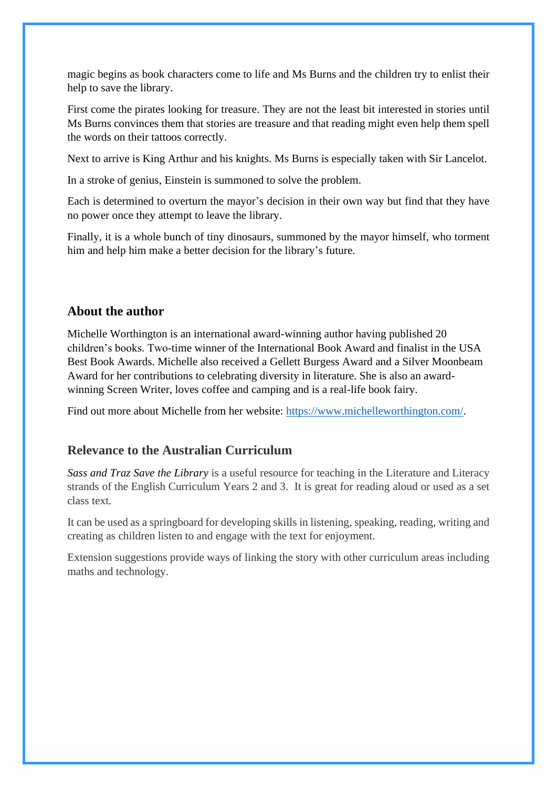magic begins as book characters come to life and Ms Burns and the children try to enlist their help to save the library.

First come the pirates looking for treasure. They are not the least bit interested in stories until Ms Burns convinces them that stories are treasure and that reading might even help them spell the words on their tattoos correctly.

Next to arrive is King Arthur and his knights. Ms Burns is especially taken with Sir Lancelot.

In a stroke of genius, Einstein is summoned to solve the problem.

Each is determined to overturn the mayor's decision in their own way but find that they have no power once they attempt to leave the library.

Finally, it is a whole bunch of tiny dinosaurs, summoned by the mayor himself, who torment him and help him make a better decision for the library's future.

### **About the author**

Michelle Worthington is an international award-winning author having published 20 children's books. Two-time winner of the International Book Award and finalist in the USA Best Book Awards. Michelle also received a Gellett Burgess Award and a Silver Moonbeam Award for her contributions to celebrating diversity in literature. She is also an awardwinning Screen Writer, loves coffee and camping and is a real-life book fairy.

Find out more about Michelle from her website: [https://www.michelleworthington.com/.](https://www.michelleworthington.com/)

## **Relevance to the Australian Curriculum**

*Sass and Traz Save the Library* is a useful resource for teaching in the Literature and Literacy strands of the English Curriculum Years 2 and 3. It is great for reading aloud or used as a set class text.

It can be used as a springboard for developing skills in listening, speaking, reading, writing and creating as children listen to and engage with the text for enjoyment.

Extension suggestions provide ways of linking the story with other curriculum areas including maths and technology.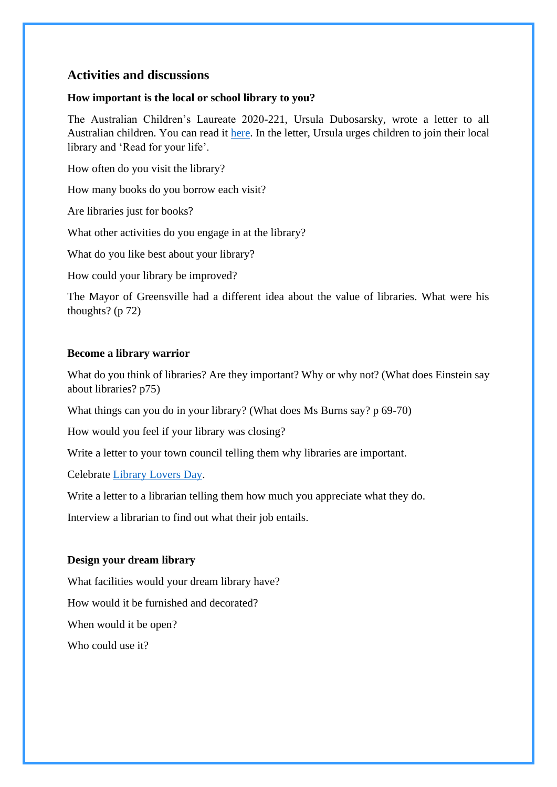### **Activities and discussions**

#### **How important is the local or school library to you?**

The Australian Children's Laureate 2020-221, Ursula Dubosarsky, wrote a letter to all Australian children. You can read it [here.](https://www.childrenslaureate.org.au/read-for-your-life) In the letter, Ursula urges children to join their local library and 'Read for your life'.

How often do you visit the library?

How many books do you borrow each visit?

Are libraries just for books?

What other activities do you engage in at the library?

What do you like best about your library?

How could your library be improved?

The Mayor of Greensville had a different idea about the value of libraries. What were his thoughts? (p 72)

#### **Become a library warrior**

What do you think of libraries? Are they important? Why or why not? (What does Einstein say about libraries? p75)

What things can you do in your library? (What does Ms Burns say? p 69-70)

How would you feel if your library was closing?

Write a letter to your town council telling them why libraries are important.

Celebrate [Library Lovers Day.](https://new.alia.org.au/libraryloversday)

Write a letter to a librarian telling them how much you appreciate what they do.

Interview a librarian to find out what their job entails.

#### **Design your dream library**

What facilities would your dream library have? How would it be furnished and decorated? When would it be open? Who could use it?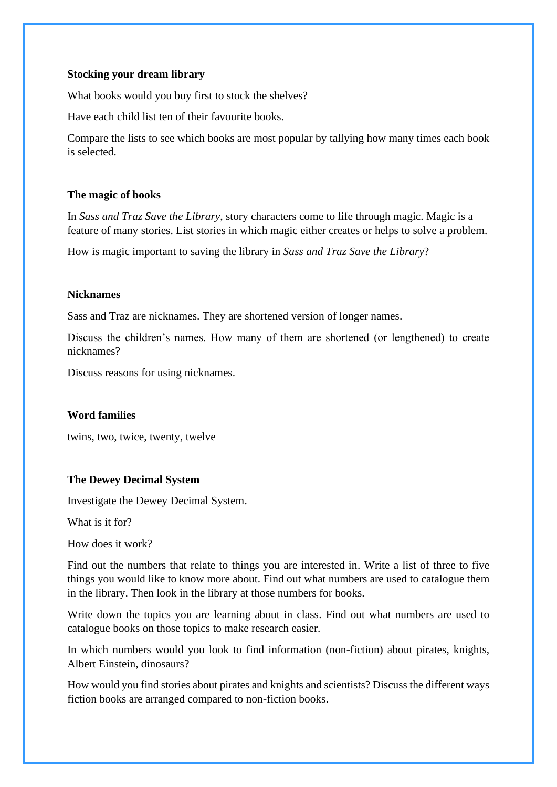#### **Stocking your dream library**

What books would you buy first to stock the shelves?

Have each child list ten of their favourite books.

Compare the lists to see which books are most popular by tallying how many times each book is selected.

#### **The magic of books**

In *Sass and Traz Save the Library*, story characters come to life through magic. Magic is a feature of many stories. List stories in which magic either creates or helps to solve a problem.

How is magic important to saving the library in *Sass and Traz Save the Library*?

#### **Nicknames**

Sass and Traz are nicknames. They are shortened version of longer names.

Discuss the children's names. How many of them are shortened (or lengthened) to create nicknames?

Discuss reasons for using nicknames.

#### **Word families**

twins, two, twice, twenty, twelve

#### **The Dewey Decimal System**

Investigate the Dewey Decimal System.

What is it for?

How does it work?

Find out the numbers that relate to things you are interested in. Write a list of three to five things you would like to know more about. Find out what numbers are used to catalogue them in the library. Then look in the library at those numbers for books.

Write down the topics you are learning about in class. Find out what numbers are used to catalogue books on those topics to make research easier.

In which numbers would you look to find information (non-fiction) about pirates, knights, Albert Einstein, dinosaurs?

How would you find stories about pirates and knights and scientists? Discuss the different ways fiction books are arranged compared to non-fiction books.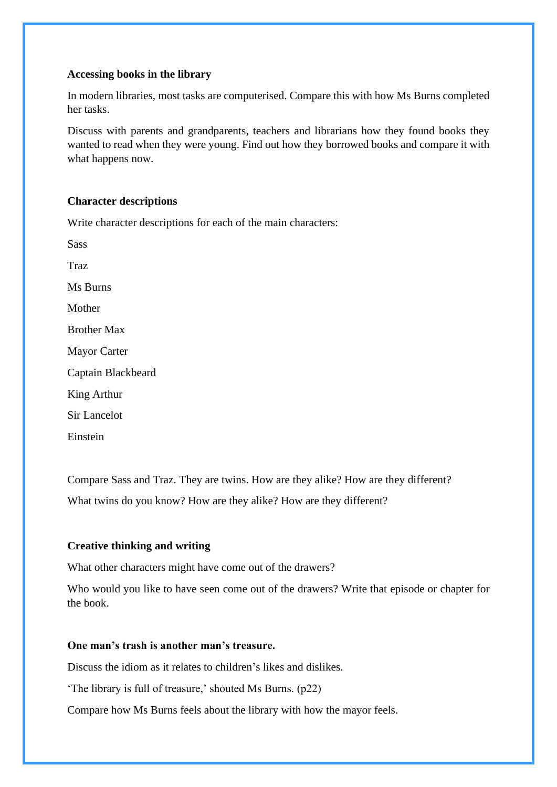#### **Accessing books in the library**

In modern libraries, most tasks are computerised. Compare this with how Ms Burns completed her tasks.

Discuss with parents and grandparents, teachers and librarians how they found books they wanted to read when they were young. Find out how they borrowed books and compare it with what happens now.

#### **Character descriptions**

Write character descriptions for each of the main characters:

Sass Traz Ms Burns Mother Brother Max Mayor Carter Captain Blackbeard King Arthur Sir Lancelot

Einstein

Compare Sass and Traz. They are twins. How are they alike? How are they different? What twins do you know? How are they alike? How are they different?

#### **Creative thinking and writing**

What other characters might have come out of the drawers?

Who would you like to have seen come out of the drawers? Write that episode or chapter for the book.

#### **One man's trash is another man's treasure.**

Discuss the idiom as it relates to children's likes and dislikes.

'The library is full of treasure,' shouted Ms Burns. (p22)

Compare how Ms Burns feels about the library with how the mayor feels.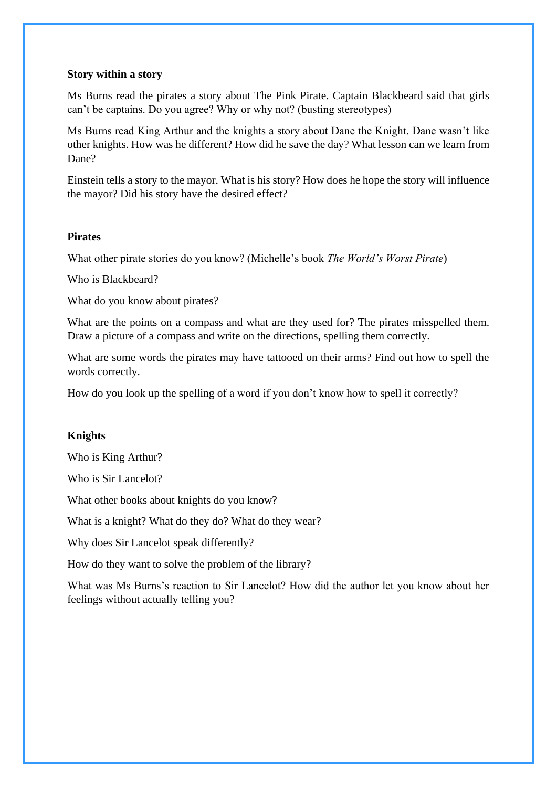#### **Story within a story**

Ms Burns read the pirates a story about The Pink Pirate. Captain Blackbeard said that girls can't be captains. Do you agree? Why or why not? (busting stereotypes)

Ms Burns read King Arthur and the knights a story about Dane the Knight. Dane wasn't like other knights. How was he different? How did he save the day? What lesson can we learn from Dane?

Einstein tells a story to the mayor. What is his story? How does he hope the story will influence the mayor? Did his story have the desired effect?

#### **Pirates**

What other pirate stories do you know? (Michelle's book *The World's Worst Pirate*)

Who is Blackbeard?

What do you know about pirates?

What are the points on a compass and what are they used for? The pirates misspelled them. Draw a picture of a compass and write on the directions, spelling them correctly.

What are some words the pirates may have tattooed on their arms? Find out how to spell the words correctly.

How do you look up the spelling of a word if you don't know how to spell it correctly?

#### **Knights**

Who is King Arthur?

Who is Sir Lancelot?

What other books about knights do you know?

What is a knight? What do they do? What do they wear?

Why does Sir Lancelot speak differently?

How do they want to solve the problem of the library?

What was Ms Burns's reaction to Sir Lancelot? How did the author let you know about her feelings without actually telling you?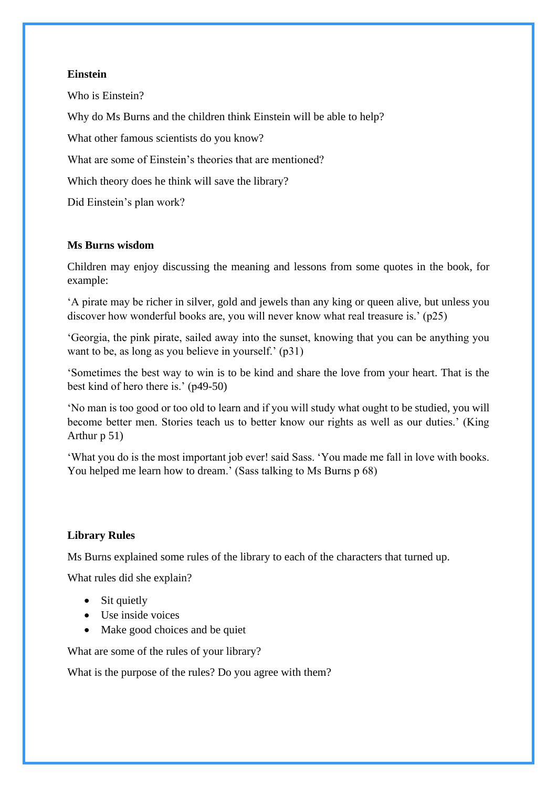#### **Einstein**

Who is Einstein? Why do Ms Burns and the children think Einstein will be able to help? What other famous scientists do you know? What are some of Einstein's theories that are mentioned? Which theory does he think will save the library? Did Einstein's plan work?

#### **Ms Burns wisdom**

Children may enjoy discussing the meaning and lessons from some quotes in the book, for example:

'A pirate may be richer in silver, gold and jewels than any king or queen alive, but unless you discover how wonderful books are, you will never know what real treasure is.' (p25)

'Georgia, the pink pirate, sailed away into the sunset, knowing that you can be anything you want to be, as long as you believe in yourself.' (p31)

'Sometimes the best way to win is to be kind and share the love from your heart. That is the best kind of hero there is.' (p49-50)

'No man is too good or too old to learn and if you will study what ought to be studied, you will become better men. Stories teach us to better know our rights as well as our duties.' (King Arthur p 51)

'What you do is the most important job ever! said Sass. 'You made me fall in love with books. You helped me learn how to dream.' (Sass talking to Ms Burns p 68)

#### **Library Rules**

Ms Burns explained some rules of the library to each of the characters that turned up.

What rules did she explain?

- Sit quietly
- Use inside voices
- Make good choices and be quiet

What are some of the rules of your library?

What is the purpose of the rules? Do you agree with them?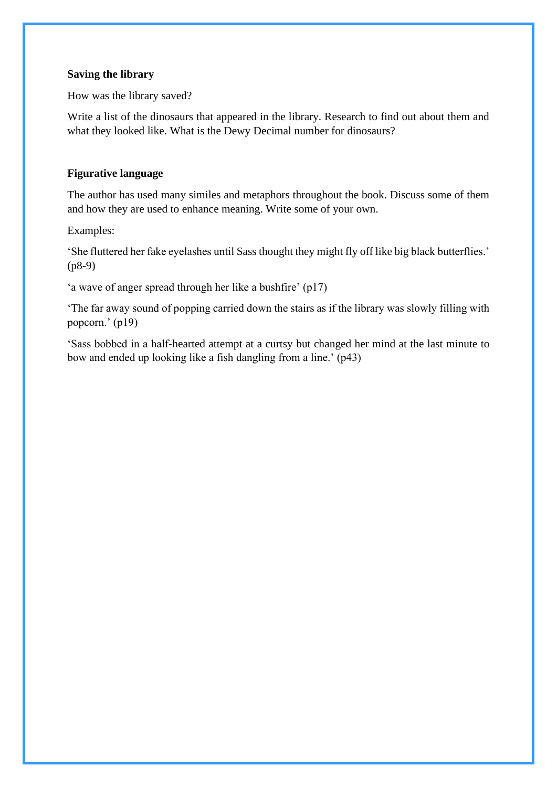#### **Saving the library**

How was the library saved?

Write a list of the dinosaurs that appeared in the library. Research to find out about them and what they looked like. What is the Dewy Decimal number for dinosaurs?

#### **Figurative language**

The author has used many similes and metaphors throughout the book. Discuss some of them and how they are used to enhance meaning. Write some of your own.

Examples:

'She fluttered her fake eyelashes until Sass thought they might fly off like big black butterflies.' (p8-9)

'a wave of anger spread through her like a bushfire' (p17)

'The far away sound of popping carried down the stairs as if the library was slowly filling with popcorn.' (p19)

'Sass bobbed in a half-hearted attempt at a curtsy but changed her mind at the last minute to bow and ended up looking like a fish dangling from a line.' (p43)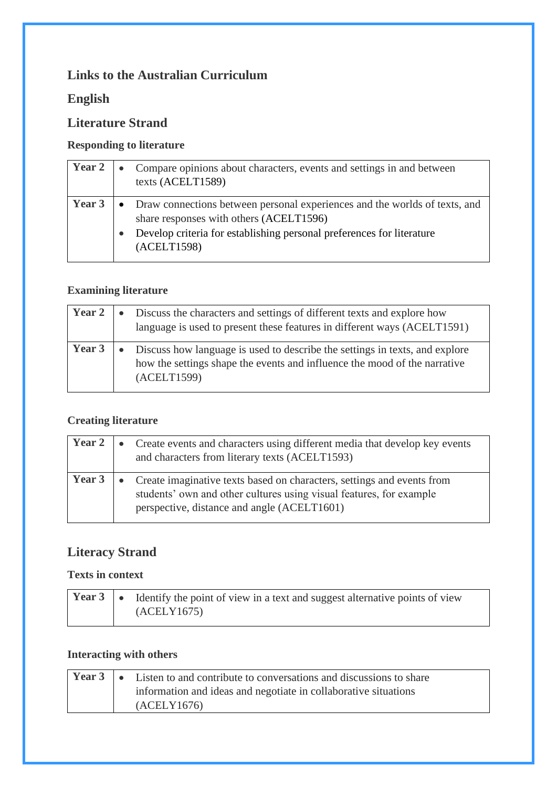## **Links to the Australian Curriculum**

## **English**

## **Literature Strand**

## **Responding to literature**

| Year 2 | $\bullet$ | Compare opinions about characters, events and settings in and between<br>texts (ACELT1589)                            |
|--------|-----------|-----------------------------------------------------------------------------------------------------------------------|
| Year 3 | $\bullet$ | Draw connections between personal experiences and the worlds of texts, and<br>share responses with others (ACELT1596) |
|        |           | Develop criteria for establishing personal preferences for literature<br>(ACELT1598)                                  |

## **Examining literature**

| <b>Year 2</b> | • Discuss the characters and settings of different texts and explore how<br>language is used to present these features in different ways (ACELT1591)                      |
|---------------|---------------------------------------------------------------------------------------------------------------------------------------------------------------------------|
| Year 3        | • Discuss how language is used to describe the settings in texts, and explore<br>how the settings shape the events and influence the mood of the narrative<br>(ACELT1599) |

## **Creating literature**

| <b>Year 2</b> | • Create events and characters using different media that develop key events<br>and characters from literary texts (ACELT1593)                                                                 |
|---------------|------------------------------------------------------------------------------------------------------------------------------------------------------------------------------------------------|
| <b>Year 3</b> | • Create imaginative texts based on characters, settings and events from<br>students' own and other cultures using visual features, for example<br>perspective, distance and angle (ACELT1601) |

# **Literacy Strand**

### **Texts in context**

|  | <b>Year 3</b> $\bullet$ Identify the point of view in a text and suggest alternative points of view |
|--|-----------------------------------------------------------------------------------------------------|
|  | (ACELY1675)                                                                                         |

## **Interacting with others**

|  | <b>Year 3</b> $\bullet$ Listen to and contribute to conversations and discussions to share |
|--|--------------------------------------------------------------------------------------------|
|  | information and ideas and negotiate in collaborative situations                            |
|  | (ACELY1676)                                                                                |